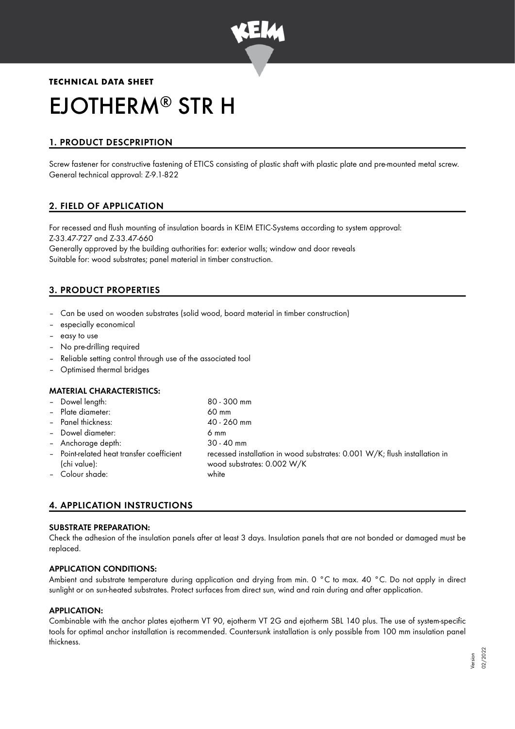

# **TECHNICAL DATA SHEET** EJOTHERM<sup>®</sup> STR H

# 1. PRODUCT DESCPRIPTION

Screw fastener for constructive fastening of ETICS consisting of plastic shaft with plastic plate and pre-mounted metal screw. General technical approval: Z-9.1-822

# 2. FIELD OF APPLICATION

For recessed and flush mounting of insulation boards in KEIM ETIC-Systems according to system approval: Z-33.47-727 and Z-33.47-660

Generally approved by the building authorities for: exterior walls; window and door reveals Suitable for: wood substrates; panel material in timber construction.

# 3. PRODUCT PROPERTIES

- Can be used on wooden substrates (solid wood, board material in timber construction)
- especially economical
- easy to use
- No pre-drilling required
- Reliable setting control through use of the associated tool
- Optimised thermal bridges

## MATERIAL CHARACTERISTICS:

| - Dowel length:                                           | $80 - 300$ mm                                                                                            |
|-----------------------------------------------------------|----------------------------------------------------------------------------------------------------------|
| - Plate diameter:                                         | $60 \text{ mm}$                                                                                          |
| - Panel thickness:                                        | 40 - 260 mm                                                                                              |
| - Dowel diameter:                                         | 6 mm                                                                                                     |
| - Anchorage depth:                                        | $30 - 40$ mm                                                                                             |
| - Point-related heat transfer coefficient<br>(chi value): | recessed installation in wood substrates: 0.001 W/K; flush installation in<br>wood substrates: 0.002 W/K |
| - Colour shade:                                           | white                                                                                                    |

# 4. APPLICATION INSTRUCTIONS

#### SUBSTRATE PREPARATION:

Check the adhesion of the insulation panels after at least 3 days. Insulation panels that are not bonded or damaged must be replaced.

## APPLICATION CONDITIONS:

Ambient and substrate temperature during application and drying from min. 0 °C to max. 40 °C. Do not apply in direct sunlight or on sun-heated substrates. Protect surfaces from direct sun, wind and rain during and after application.

## APPLICATION:

Combinable with the anchor plates ejotherm VT 90, ejotherm VT 2G and ejotherm SBL 140 plus. The use of system-specific tools for optimal anchor installation is recommended. Countersunk installation is only possible from 100 mm insulation panel thickness.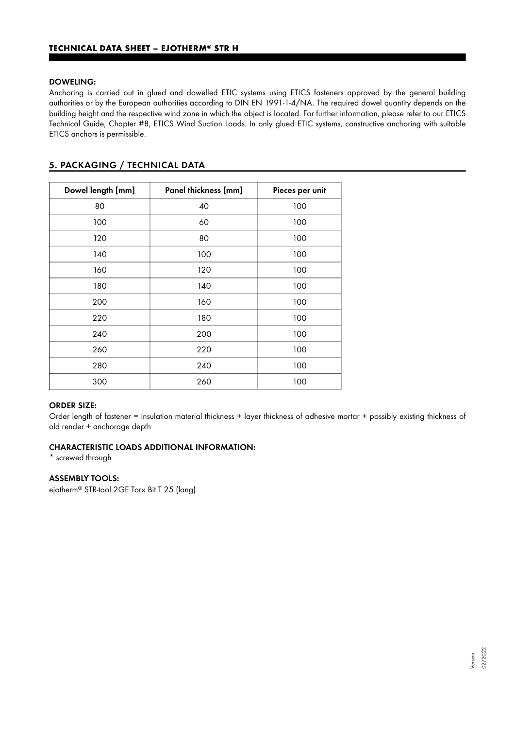## DOWELING:

Anchoring is carried out in glued and dowelled ETIC systems using ETICS fasteners approved by the general building authorities or by the European authorities according to DIN EN 1991-1-4/NA. The required dowel quantity depends on the building height and the respective wind zone in which the object is located. For further information, please refer to our ETICS Technical Guide, Chapter #8, ETICS Wind Suction Loads. In only glued ETIC systems, constructive anchoring with suitable ETICS anchors is permissible.

# 5. PACKAGING / TECHNICAL DATA

| Dowel length [mm] | Panel thickness [mm] | Pieces per unit |
|-------------------|----------------------|-----------------|
| 80                | 40                   | 100             |
| 100               | 60                   | 100             |
| 120               | 80                   | 100             |
| 140               | 100                  | 100             |
| 160               | 120                  | 100             |
| 180               | 140                  | 100             |
| 200               | 160                  | 100             |
| 220               | 180                  | 100             |
| 240               | 200                  | 100             |
| 260               | 220                  | 100             |
| 280               | 240                  | 100             |
| 300               | 260                  | 100             |

#### ORDER SIZE:

Order length of fastener = insulation material thickness + layer thickness of adhesive mortar + possibly existing thickness of old render + anchorage depth

## CHARACTERISTIC LOADS ADDITIONAL INFORMATION:

\* screwed through

## ASSEMBLY TOOLS:

ejotherm<sup>®</sup> STR-tool 2GE Torx Bit T 25 (lang)